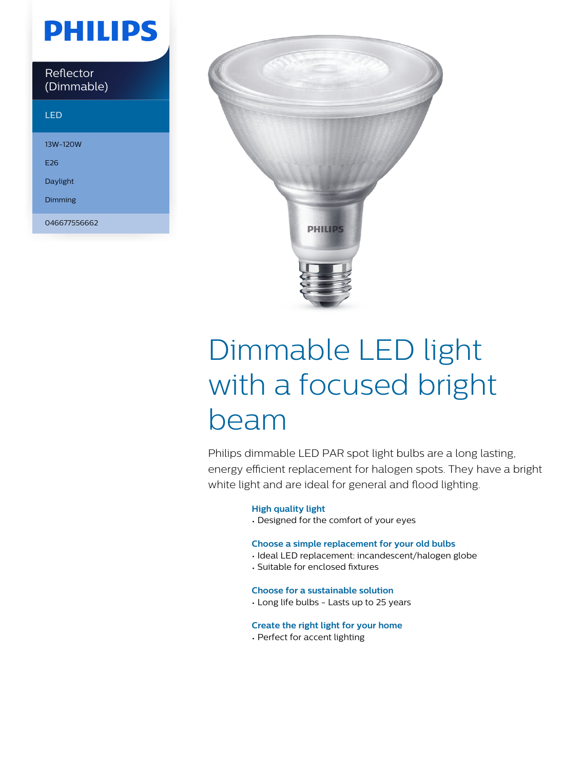## **PHILIPS**

| Reflector  |
|------------|
| (Dimmable) |

### LED

13W-120W

E26

Daylight

Dimming

046677556662



# Dimmable LED light with a focused bright beam

Philips dimmable LED PAR spot light bulbs are a long lasting, energy efficient replacement for halogen spots. They have a bright white light and are ideal for general and flood lighting.

#### **High quality light**

• Designed for the comfort of your eyes

#### **Choose a simple replacement for your old bulbs**

- Ideal LED replacement: incandescent/halogen globe
- Suitable for enclosed fixtures

#### **Choose for a sustainable solution**

• Long life bulbs - Lasts up to 25 years

#### **Create the right light for your home**

• Perfect for accent lighting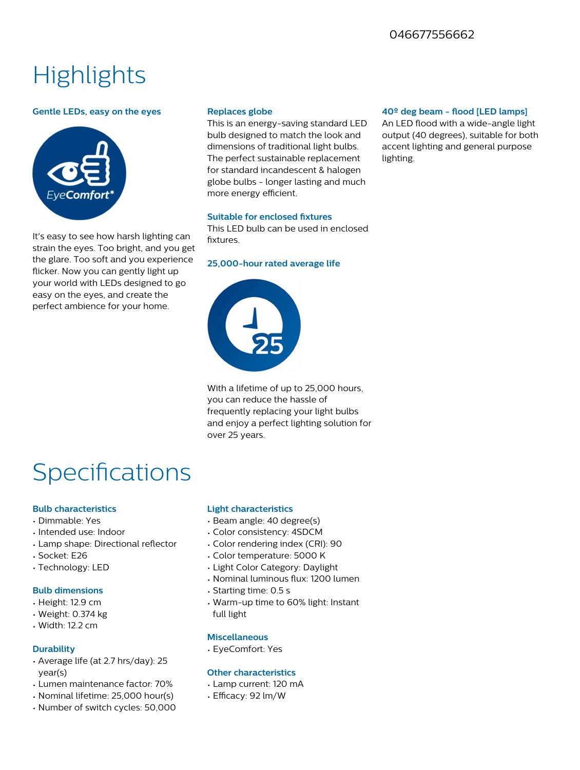### **Highlights**

#### **Gentle LEDs, easy on the eyes**



It's easy to see how harsh lighting can strain the eyes. Too bright, and you get the glare. Too soft and you experience flicker. Now you can gently light up your world with LEDs designed to go easy on the eyes, and create the perfect ambience for your home.

#### **Replaces globe**

This is an energy-saving standard LED bulb designed to match the look and dimensions of traditional light bulbs. The perfect sustainable replacement for standard incandescent & halogen globe bulbs - longer lasting and much more energy efficient.

#### **Suitable for enclosed fixtures**

This LED bulb can be used in enclosed fixtures.

#### **25,000-hour rated average life**



With a lifetime of up to 25,000 hours, you can reduce the hassle of frequently replacing your light bulbs and enjoy a perfect lighting solution for over 25 years.

### **Specifications**

#### **Bulb characteristics**

- Dimmable: Yes
- Intended use: Indoor
- Lamp shape: Directional reflector
- Socket: E26
- Technology: LED

#### **Bulb dimensions**

- Height: 12.9 cm
- Weight: 0.374 kg
- Width: 12.2 cm

#### **Durability**

- Average life (at 2.7 hrs/day): 25 year(s)
- Lumen maintenance factor: 70%
- Nominal lifetime: 25,000 hour(s)
- Number of switch cycles: 50,000

#### **Light characteristics**

- Beam angle: 40 degree(s)
- Color consistency: 4SDCM
- Color rendering index (CRI): 90
- Color temperature: 5000 K
- Light Color Category: Daylight
- Nominal luminous flux: 1200 lumen
- Starting time: 0.5 s
- Warm-up time to 60% light: Instant full light

#### **Miscellaneous**

• EyeComfort: Yes

#### **Other characteristics**

- Lamp current: 120 mA
- $\cdot$  Efficacy: 92 lm/W

#### 40<sup>°</sup> deg beam - flood [LED lamps]

An LED flood with a wide-angle light output (40 degrees), suitable for both accent lighting and general purpose lighting.